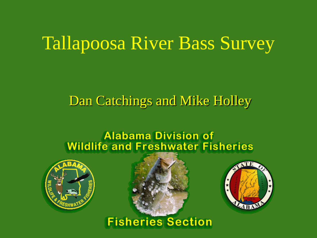# Tallapoosa River Bass Survey

# Dan Catchings and Mike Holley

### **Alabama Division of Wildlife and Freshwater Fisheries**







## **Fisheries Section**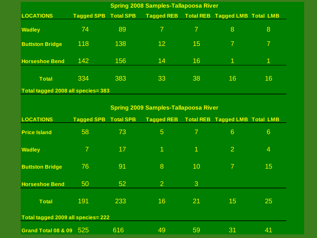| <b>Spring 2008 Samples-Tallapoosa River</b> |                   |                  |                   |    |                                       |    |  |  |
|---------------------------------------------|-------------------|------------------|-------------------|----|---------------------------------------|----|--|--|
| <b>LOCATIONS</b>                            | <b>Tagged SPB</b> | <b>Total SPB</b> | <b>Tagged REB</b> |    | <b>Total REB Tagged LMB Total LMB</b> |    |  |  |
| <b>Wadley</b>                               | 74                | 89               | $\overline{7}$    |    | $\mathbf{8}$                          | 8  |  |  |
| <b>Buttston Bridge</b>                      | 118               | 138              | 12                | 15 |                                       | 7  |  |  |
| <b>Horseshoe Bend</b>                       | 142               | 156              | 14                | 16 |                                       | 1  |  |  |
| <b>Total</b>                                | 334               | 383              | 33                | 38 | 16                                    | 16 |  |  |
| Total tagged 2008 all species= 383          |                   |                  |                   |    |                                       |    |  |  |

#### **Spring 2009 Samples-Tallapoosa River**

| <b>LOCATIONS</b>                   | <b>Tagged SPB</b> | <b>Total SPB</b> | <b>Tagged REB</b>    |                          | <b>Total REB Tagged LMB Total LMB</b> |                |  |  |
|------------------------------------|-------------------|------------------|----------------------|--------------------------|---------------------------------------|----------------|--|--|
| <b>Price Island</b>                | 58                | 73               | 5                    | $\overline{\mathcal{L}}$ | $6\phantom{1}6$                       | 6              |  |  |
| <b>Wadley</b>                      | $\overline{7}$    | 17               | $\blacktriangleleft$ | $\overline{\mathbf{1}}$  | $\overline{2}$                        | $\overline{4}$ |  |  |
| <b>Buttston Bridge</b>             | 76                | 91               | 8                    | 10                       |                                       | 15             |  |  |
| <b>Horseshoe Bend</b>              | 50                | 52 <sub>2</sub>  | $\overline{2}$       | 3                        |                                       |                |  |  |
| <b>Total</b>                       | 191               | 233              | 16                   | 21                       | 15                                    | 25             |  |  |
| Total tagged 2009 all species= 222 |                   |                  |                      |                          |                                       |                |  |  |
| Grand Total 08 & 09                | 525               | 616              | 49                   | 59                       | 31                                    | 41             |  |  |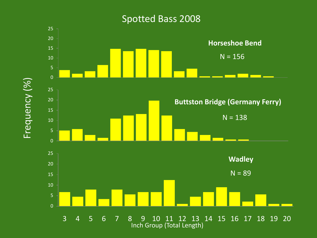#### Spotted Bass 2008



Frequency (%)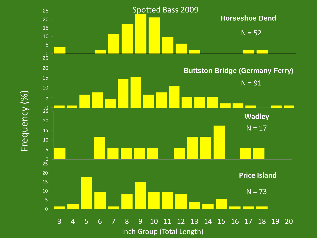

Frequency (%)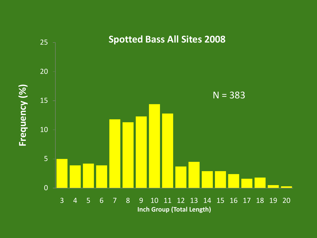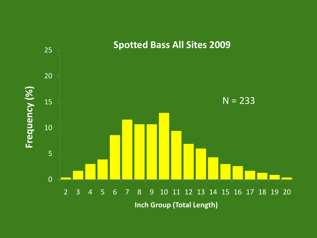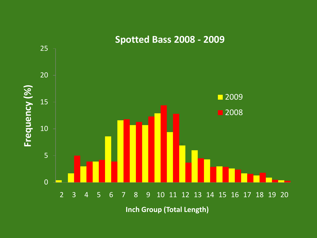